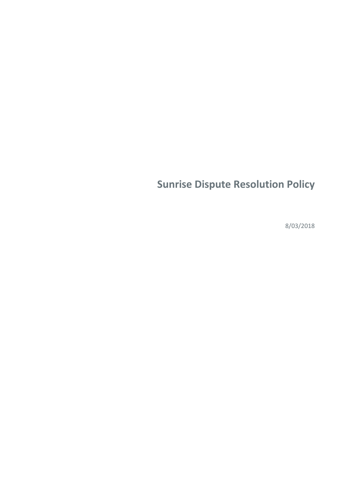# **Sunrise Dispute Resolution Policy**

8/03/2018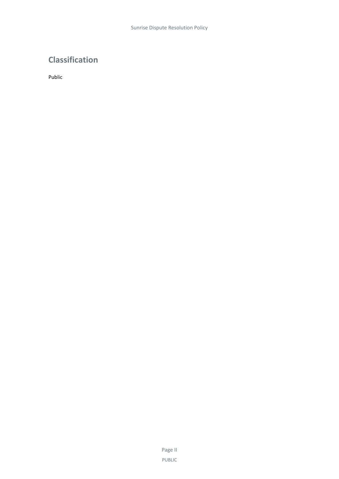# **Classification**

Public

Page II PUBLIC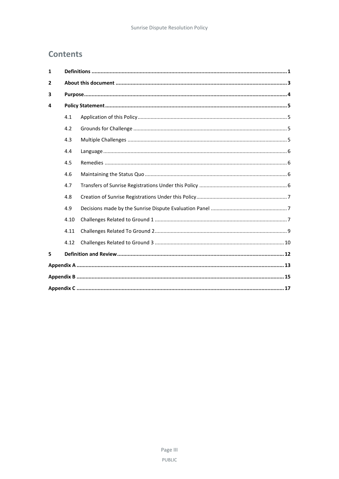# **Contents**

| $\mathbf{1}$   |      |  |  |  |
|----------------|------|--|--|--|
| $\overline{2}$ |      |  |  |  |
| 3              |      |  |  |  |
| 4              |      |  |  |  |
|                | 4.1  |  |  |  |
|                | 4.2  |  |  |  |
|                | 4.3  |  |  |  |
|                | 4.4  |  |  |  |
|                | 4.5  |  |  |  |
|                | 4.6  |  |  |  |
|                | 4.7  |  |  |  |
|                | 4.8  |  |  |  |
|                | 4.9  |  |  |  |
|                | 4.10 |  |  |  |
|                | 4.11 |  |  |  |
|                | 4.12 |  |  |  |
| 5              |      |  |  |  |
|                |      |  |  |  |
|                |      |  |  |  |
|                |      |  |  |  |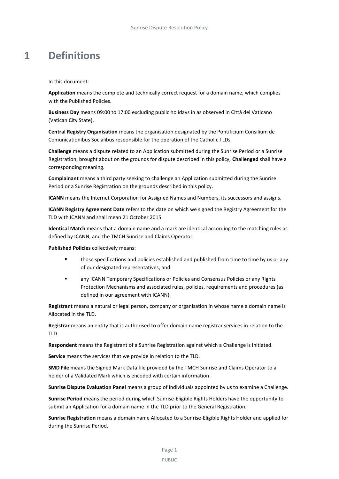# <span id="page-4-0"></span>**1 Definitions**

In this document:

**Application** means the complete and technically correct request for a domain name, which complies with the Published Policies.

**Business Day** means 09:00 to 17:00 excluding public holidays in as observed in Città del Vaticano (Vatican City State).

**Central Registry Organisation** means the organisation designated by the Pontificium Consilium de Comunicationibus Socialibus responsible for the operation of the Catholic TLDs.

**Challenge** means a dispute related to an Application submitted during the Sunrise Period or a Sunrise Registration, brought about on the grounds for dispute described in this policy, **Challenged** shall have a corresponding meaning.

**Complainant** means a third party seeking to challenge an Application submitted during the Sunrise Period or a Sunrise Registration on the grounds described in this policy.

**ICANN** means the Internet Corporation for Assigned Names and Numbers, its successors and assigns.

**ICANN Registry Agreement Date** refers to the date on which we signed the Registry Agreement for the TLD with ICANN and shall mean 21 October 2015.

**Identical Match** means that a domain name and a mark are identical according to the matching rules as defined by ICANN, and the TMCH Sunrise and Claims Operator.

**Published Policies** collectively means:

- **those specifications and policies established and published from time to time by us or any** of our designated representatives; and
- **EXECT:** any ICANN Temporary Specifications or Policies and Consensus Policies or any Rights Protection Mechanisms and associated rules, policies, requirements and procedures (as defined in our agreement with ICANN).

**Registrant** means a natural or legal person, company or organisation in whose name a domain name is Allocated in the TLD.

**Registrar** means an entity that is authorised to offer domain name registrar services in relation to the TLD.

**Respondent** means the Registrant of a Sunrise Registration against which a Challenge is initiated.

**Service** means the services that we provide in relation to the TLD.

**SMD File** means the Signed Mark Data file provided by the TMCH Sunrise and Claims Operator to a holder of a Validated Mark which is encoded with certain information.

**Sunrise Dispute Evaluation Panel** means a group of individuals appointed by us to examine a Challenge.

**Sunrise Period** means the period during which Sunrise-Eligible Rights Holders have the opportunity to submit an Application for a domain name in the TLD prior to the General Registration.

**Sunrise Registration** means a domain name Allocated to a Sunrise-Eligible Rights Holder and applied for during the Sunrise Period.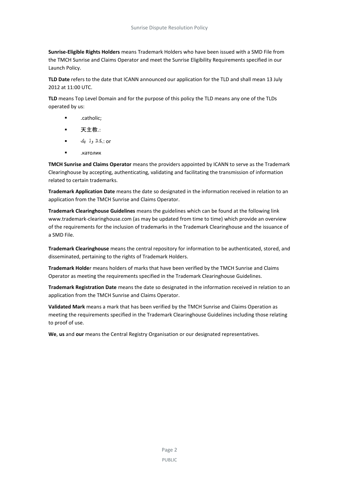**Sunrise-Eligible Rights Holders** means Trademark Holders who have been issued with a SMD File from the TMCH Sunrise and Claims Operator and meet the Sunrise Eligibility Requirements specified in our Launch Policy.

**TLD Date** refers to the date that ICANN announced our application for the TLD and shall mean 13 July 2012 at 11:00 UTC.

**TLD** means Top Level Domain and for the purpose of this policy the TLD means any one of the TLDs operated by us:

- .catholic;
- 天主教.:
- or .:كاث ول يك
- .католик

**TMCH Sunrise and Claims Operator** means the providers appointed by ICANN to serve as the Trademark Clearinghouse by accepting, authenticating, validating and facilitating the transmission of information related to certain trademarks.

**Trademark Application Date** means the date so designated in the information received in relation to an application from the TMCH Sunrise and Claims Operator.

**Trademark Clearinghouse Guidelines** means the guidelines which can be found at the following link www.trademark-clearinghouse.com (as may be updated from time to time) which provide an overview of the requirements for the inclusion of trademarks in the Trademark Clearinghouse and the issuance of a SMD File.

**Trademark Clearinghouse** means the central repository for information to be authenticated, stored, and disseminated, pertaining to the rights of Trademark Holders.

**Trademark Holde**r means holders of marks that have been verified by the TMCH Sunrise and Claims Operator as meeting the requirements specified in the Trademark Clearinghouse Guidelines.

**Trademark Registration Date** means the date so designated in the information received in relation to an application from the TMCH Sunrise and Claims Operator.

**Validated Mark** means a mark that has been verified by the TMCH Sunrise and Claims Operation as meeting the requirements specified in the Trademark Clearinghouse Guidelines including those relating to proof of use.

**We**, **us** and **our** means the Central Registry Organisation or our designated representatives.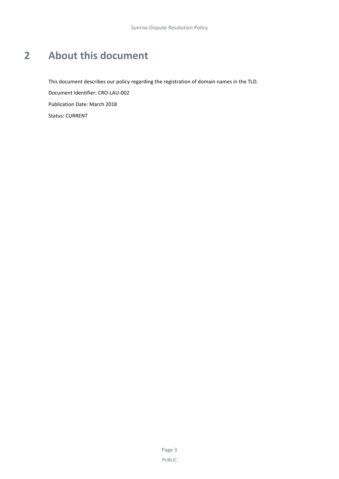# <span id="page-6-0"></span>**2 About this document**

This document describes our policy regarding the registration of domain names in the TLD.

Document Identifier: CRO-LAU-002

Publication Date: March 2018

Status: CURRENT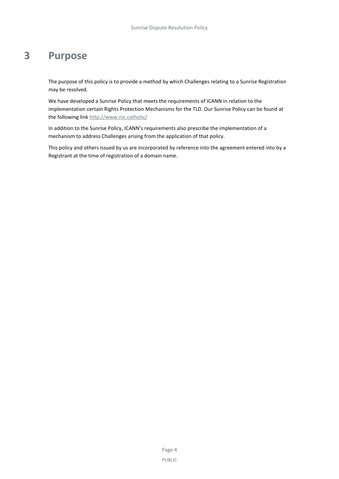# <span id="page-7-0"></span>**3 Purpose**

The purpose of this policy is to provide a method by which Challenges relating to a Sunrise Registration may be resolved.

We have developed a Sunrise Policy that meets the requirements of ICANN in relation to the implementation certain Rights Protection Mechanisms for the TLD. Our Sunrise Policy can be found at the following link<http://www.nic.catholic/>

In addition to the Sunrise Policy, ICANN's requirements also prescribe the implementation of a mechanism to address Challenges arising from the application of that policy.

This policy and others issued by us are incorporated by reference into the agreement entered into by a Registrant at the time of registration of a domain name.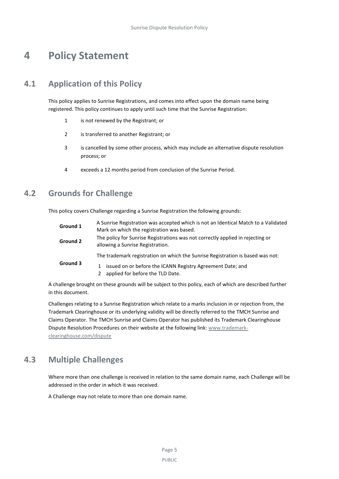# <span id="page-8-0"></span>**4 Policy Statement**

# **4.1 Application of this Policy**

<span id="page-8-1"></span>This policy applies to Sunrise Registrations, and comes into effect upon the domain name being registered. This policy continues to apply until such time that the Sunrise Registration:

- 1 is not renewed by the Registrant; or
- 2 is transferred to another Registrant; or
- 3 is cancelled by some other process, which may include an alternative dispute resolution process; or
- <span id="page-8-2"></span>4 exceeds a 12 months period from conclusion of the Sunrise Period.

## **4.2 Grounds for Challenge**

This policy covers Challenge regarding a Sunrise Registration the following grounds:

| Ground 1 | A Sunrise Registration was accepted which is not an Identical Match to a Validated<br>Mark on which the registration was based. |
|----------|---------------------------------------------------------------------------------------------------------------------------------|
| Ground 2 | The policy for Sunrise Registrations was not correctly applied in rejecting or<br>allowing a Sunrise Registration.              |
|          | The trademark registration on which the Sunrise Registration is based was not:                                                  |
| Ground 3 | issued on or before the ICANN Registry Agreement Date; and<br>$\mathbf{1}$<br>applied for before the TLD Date.                  |

A challenge brought on these grounds will be subject to this policy, each of which are described further in this document.

Challenges relating to a Sunrise Registration which relate to a marks inclusion in or rejection from, the Trademark Clearinghouse or its underlying validity will be directly referred to the TMCH Sunrise and Claims Operator. The TMCH Sunrise and Claims Operator has published its Trademark Clearinghouse Dispute Resolution Procedures on their website at the following link: [www.trademark](http://www.trademark-clearinghouse.com/dispute)[clearinghouse.com/dispute](http://www.trademark-clearinghouse.com/dispute)

## <span id="page-8-3"></span>**4.3 Multiple Challenges**

Where more than one challenge is received in relation to the same domain name, each Challenge will be addressed in the order in which it was received.

A Challenge may not relate to more than one domain name.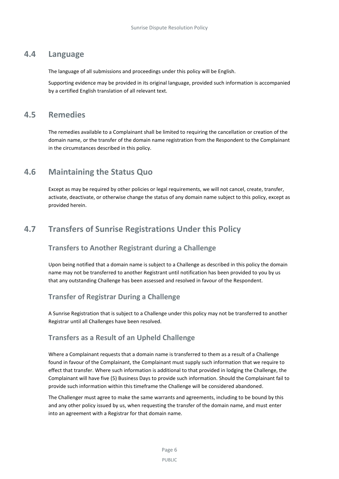### **4.4 Language**

<span id="page-9-0"></span>The language of all submissions and proceedings under this policy will be English.

<span id="page-9-1"></span>Supporting evidence may be provided in its original language, provided such information is accompanied by a certified English translation of all relevant text.

### **4.5 Remedies**

The remedies available to a Complainant shall be limited to requiring the cancellation or creation of the domain name, or the transfer of the domain name registration from the Respondent to the Complainant in the circumstances described in this policy.

## <span id="page-9-2"></span>**4.6 Maintaining the Status Quo**

Except as may be required by other policies or legal requirements, we will not cancel, create, transfer, activate, deactivate, or otherwise change the status of any domain name subject to this policy, except as provided herein.

# <span id="page-9-3"></span>**4.7 Transfers of Sunrise Registrations Under this Policy**

### **Transfers to Another Registrant during a Challenge**

Upon being notified that a domain name is subject to a Challenge as described in this policy the domain name may not be transferred to another Registrant until notification has been provided to you by us that any outstanding Challenge has been assessed and resolved in favour of the Respondent.

## **Transfer of Registrar During a Challenge**

A Sunrise Registration that is subject to a Challenge under this policy may not be transferred to another Registrar until all Challenges have been resolved.

### **Transfers as a Result of an Upheld Challenge**

Where a Complainant requests that a domain name is transferred to them as a result of a Challenge found in favour of the Complainant, the Complainant must supply such information that we require to effect that transfer. Where such information is additional to that provided in lodging the Challenge, the Complainant will have five (5) Business Days to provide such information. Should the Complainant fail to provide such information within this timeframe the Challenge will be considered abandoned.

The Challenger must agree to make the same warrants and agreements, including to be bound by this and any other policy issued by us, when requesting the transfer of the domain name, and must enter into an agreement with a Registrar for that domain name.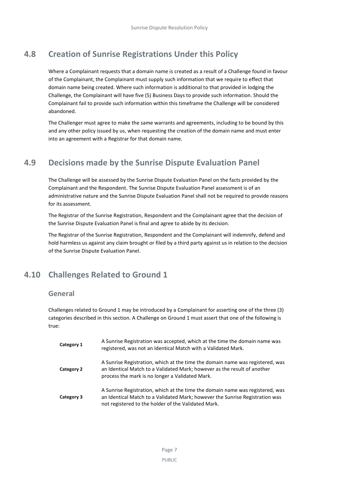# **4.8 Creation of Sunrise Registrations Under this Policy**

<span id="page-10-0"></span>Where a Complainant requests that a domain name is created as a result of a Challenge found in favour of the Complainant, the Complainant must supply such information that we require to effect that domain name being created. Where such information is additional to that provided in lodging the Challenge, the Complainant will have five (5) Business Days to provide such information. Should the Complainant fail to provide such information within this timeframe the Challenge will be considered abandoned.

The Challenger must agree to make the same warrants and agreements, including to be bound by this and any other policy issued by us, when requesting the creation of the domain name and must enter into an agreement with a Registrar for that domain name.

# <span id="page-10-1"></span>**4.9 Decisions made by the Sunrise Dispute Evaluation Panel**

The Challenge will be assessed by the Sunrise Dispute Evaluation Panel on the facts provided by the Complainant and the Respondent. The Sunrise Dispute Evaluation Panel assessment is of an administrative nature and the Sunrise Dispute Evaluation Panel shall not be required to provide reasons for its assessment.

The Registrar of the Sunrise Registration, Respondent and the Complainant agree that the decision of the Sunrise Dispute Evaluation Panel is final and agree to abide by its decision.

The Registrar of the Sunrise Registration, Respondent and the Complainant will indemnify, defend and hold harmless us against any claim brought or filed by a third party against us in relation to the decision of the Sunrise Dispute Evaluation Panel.

# <span id="page-10-2"></span>**4.10 Challenges Related to Ground 1**

#### **General**

Challenges related to Ground 1 may be introduced by a Complainant for asserting one of the three (3) categories described in this section. A Challenge on Ground 1 must assert that one of the following is true:

| Category 1 | A Sunrise Registration was accepted, which at the time the domain name was<br>registered, was not an Identical Match with a Validated Mark.                                                                          |
|------------|----------------------------------------------------------------------------------------------------------------------------------------------------------------------------------------------------------------------|
| Category 2 | A Sunrise Registration, which at the time the domain name was registered, was<br>an Identical Match to a Validated Mark; however as the result of another<br>process the mark is no longer a Validated Mark.         |
| Category 3 | A Sunrise Registration, which at the time the domain name was registered, was<br>an Identical Match to a Validated Mark; however the Sunrise Registration was<br>not registered to the holder of the Validated Mark. |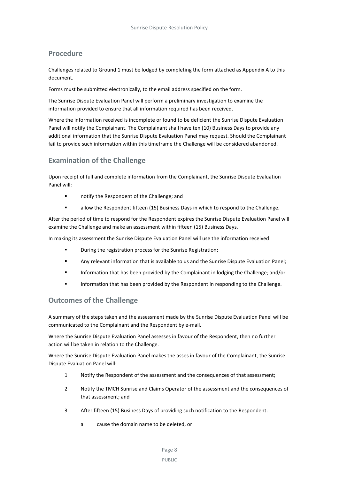#### **Procedure**

Challenges related to Ground 1 must be lodged by completing the form attached as Appendix A to this document.

Forms must be submitted electronically, to the email address specified on the form.

The Sunrise Dispute Evaluation Panel will perform a preliminary investigation to examine the information provided to ensure that all information required has been received.

Where the information received is incomplete or found to be deficient the Sunrise Dispute Evaluation Panel will notify the Complainant. The Complainant shall have ten (10) Business Days to provide any additional information that the Sunrise Dispute Evaluation Panel may request. Should the Complainant fail to provide such information within this timeframe the Challenge will be considered abandoned.

### **Examination of the Challenge**

Upon receipt of full and complete information from the Complainant, the Sunrise Dispute Evaluation Panel will:

- **notify the Respondent of the Challenge; and**
- allow the Respondent fifteen (15) Business Days in which to respond to the Challenge.

After the period of time to respond for the Respondent expires the Sunrise Dispute Evaluation Panel will examine the Challenge and make an assessment within fifteen (15) Business Days.

In making its assessment the Sunrise Dispute Evaluation Panel will use the information received:

- During the registration process for the Sunrise Registration;
- Any relevant information that is available to us and the Sunrise Dispute Evaluation Panel;
- **Information that has been provided by the Complainant in lodging the Challenge; and/or**
- **Information that has been provided by the Respondent in responding to the Challenge.**

#### **Outcomes of the Challenge**

A summary of the steps taken and the assessment made by the Sunrise Dispute Evaluation Panel will be communicated to the Complainant and the Respondent by e-mail.

Where the Sunrise Dispute Evaluation Panel assesses in favour of the Respondent, then no further action will be taken in relation to the Challenge.

Where the Sunrise Dispute Evaluation Panel makes the asses in favour of the Complainant, the Sunrise Dispute Evaluation Panel will:

- 1 Notify the Respondent of the assessment and the consequences of that assessment;
- 2 Notify the TMCH Sunrise and Claims Operator of the assessment and the consequences of that assessment; and
- 3 After fifteen (15) Business Days of providing such notification to the Respondent:
	- a cause the domain name to be deleted, or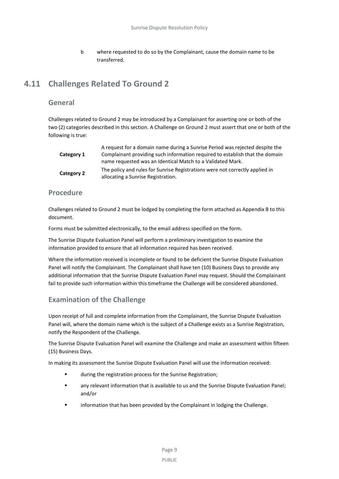b where requested to do so by the Complainant, cause the domain name to be transferred.

# <span id="page-12-0"></span>**4.11 Challenges Related To Ground 2**

#### **General**

Challenges related to Ground 2 may be introduced by a Complainant for asserting one or both of the two (2) categories described in this section. A Challenge on Ground 2 must assert that one or both of the following is true:

| Category 1 | A request for a domain name during a Sunrise Period was rejected despite the<br>Complainant providing such information required to establish that the domain<br>name requested was an Identical Match to a Validated Mark. |
|------------|----------------------------------------------------------------------------------------------------------------------------------------------------------------------------------------------------------------------------|
| Category 2 | The policy and rules for Sunrise Registrations were not correctly applied in<br>allocating a Sunrise Registration.                                                                                                         |

#### **Procedure**

Challenges related to Ground 2 must be lodged by completing the form attached as Appendix B to this document.

Forms must be submitted electronically, to the email address specified on the form.

The Sunrise Dispute Evaluation Panel will perform a preliminary investigation to examine the information provided to ensure that all information required has been received.

Where the information received is incomplete or found to be deficient the Sunrise Dispute Evaluation Panel will notify the Complainant. The Complainant shall have ten (10) Business Days to provide any additional information that the Sunrise Dispute Evaluation Panel may request. Should the Complainant fail to provide such information within this timeframe the Challenge will be considered abandoned.

### **Examination of the Challenge**

Upon receipt of full and complete information from the Complainant, the Sunrise Dispute Evaluation Panel will, where the domain name which is the subject of a Challenge exists as a Sunrise Registration, notify the Respondent of the Challenge.

The Sunrise Dispute Evaluation Panel will examine the Challenge and make an assessment within fifteen (15) Business Days.

In making its assessment the Sunrise Dispute Evaluation Panel will use the information received:

- during the registration process for the Sunrise Registration;
- any relevant information that is available to us and the Sunrise Dispute Evaluation Panel; and/or
- **EXECT** information that has been provided by the Complainant in lodging the Challenge.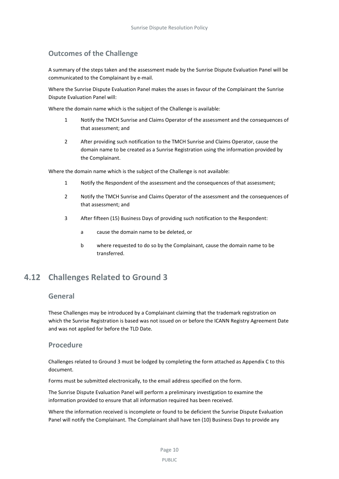### **Outcomes of the Challenge**

A summary of the steps taken and the assessment made by the Sunrise Dispute Evaluation Panel will be communicated to the Complainant by e-mail.

Where the Sunrise Dispute Evaluation Panel makes the asses in favour of the Complainant the Sunrise Dispute Evaluation Panel will:

Where the domain name which is the subject of the Challenge is available:

- 1 Notify the TMCH Sunrise and Claims Operator of the assessment and the consequences of that assessment; and
- 2 After providing such notification to the TMCH Sunrise and Claims Operator, cause the domain name to be created as a Sunrise Registration using the information provided by the Complainant.

Where the domain name which is the subject of the Challenge is not available:

- 1 Notify the Respondent of the assessment and the consequences of that assessment;
- 2 Notify the TMCH Sunrise and Claims Operator of the assessment and the consequences of that assessment; and
- 3 After fifteen (15) Business Days of providing such notification to the Respondent:
	- a cause the domain name to be deleted, or
	- b where requested to do so by the Complainant, cause the domain name to be transferred.

## <span id="page-13-0"></span>**4.12 Challenges Related to Ground 3**

#### **General**

These Challenges may be introduced by a Complainant claiming that the trademark registration on which the Sunrise Registration is based was not issued on or before the ICANN Registry Agreement Date and was not applied for before the TLD Date.

#### **Procedure**

Challenges related to Ground 3 must be lodged by completing the form attached as Appendix C to this document.

Forms must be submitted electronically, to the email address specified on the form.

The Sunrise Dispute Evaluation Panel will perform a preliminary investigation to examine the information provided to ensure that all information required has been received.

Where the information received is incomplete or found to be deficient the Sunrise Dispute Evaluation Panel will notify the Complainant. The Complainant shall have ten (10) Business Days to provide any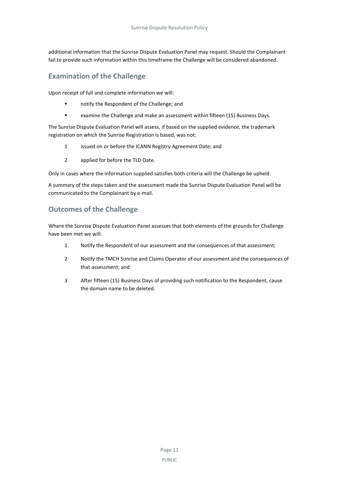additional information that the Sunrise Dispute Evaluation Panel may request. Should the Complainant fail to provide such information within this timeframe the Challenge will be considered abandoned.

### **Examination of the Challenge**

Upon receipt of full and complete information we will:

- **EXECUTE:** notify the Respondent of the Challenge: and
- examine the Challenge and make an assessment within fifteen (15) Business Days.

The Sunrise Dispute Evaluation Panel will assess, if based on the supplied evidence, the trademark registration on which the Sunrise Registration is based, was not:

- 1 issued on or before the ICANN Registry Agreement Date; and
- 2 applied for before the TLD Date.

Only in cases where the information supplied satisfies both criteria will the Challenge be upheld.

A summary of the steps taken and the assessment made the Sunrise Dispute Evaluation Panel will be communicated to the Complainant by e-mail.

### **Outcomes of the Challenge**

Where the Sunrise Dispute Evaluation Panel assesses that both elements of the grounds for Challenge have been met we will:

- 1 Notify the Respondent of our assessment and the consequences of that assessment;
- 2 Notify the TMCH Sunrise and Claims Operator of our assessment and the consequences of that assessment; and
- 3 After fifteen (15) Business Days of providing such notification to the Respondent, cause the domain name to be deleted.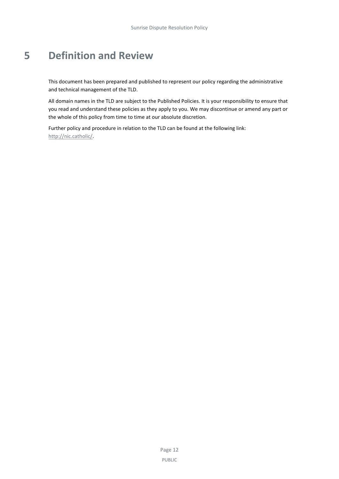# <span id="page-15-0"></span>**5 Definition and Review**

This document has been prepared and published to represent our policy regarding the administrative and technical management of the TLD.

All domain names in the TLD are subject to the Published Policies. It is your responsibility to ensure that you read and understand these policies as they apply to you. We may discontinue or amend any part or the whole of this policy from time to time at our absolute discretion.

Further policy and procedure in relation to the TLD can be found at the following link: [http://nic.catholic/.](http://nic.catholic/)

> Page 12 PUBLIC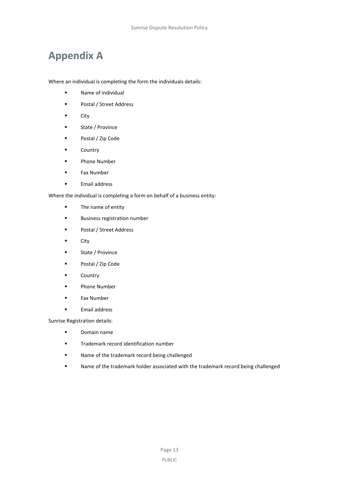# <span id="page-16-0"></span>**Appendix A**

Where an individual is completing the form the individuals details:

- **Name of individual**
- **Postal / Street Address**
- **City**
- **State / Province**
- Postal / Zip Code
- **Country**
- Phone Number
- Fax Number
- **Email address**

Where the individual is completing a form on behalf of a business entity:

- **The name of entity**
- **Business registration number**
- **Postal / Street Address**
- City
- **State / Province**
- Postal / Zip Code
- **Country**
- **Phone Number**
- **Fax Number**
- **Email address**

Sunrise Registration details:

- Domain name
- **Trademark record identification number**
- **Name of the trademark record being challenged**
- Name of the trademark holder associated with the trademark record being challenged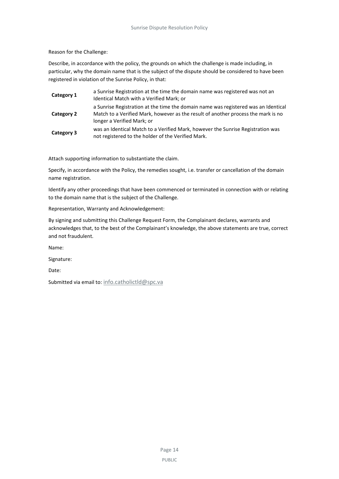Reason for the Challenge:

Describe, in accordance with the policy, the grounds on which the challenge is made including, in particular, why the domain name that is the subject of the dispute should be considered to have been registered in violation of the Sunrise Policy, in that:

| Category 1 | a Sunrise Registration at the time the domain name was registered was not an<br>Identical Match with a Verified Mark; or                                                                              |
|------------|-------------------------------------------------------------------------------------------------------------------------------------------------------------------------------------------------------|
| Category 2 | a Sunrise Registration at the time the domain name was registered was an Identical<br>Match to a Verified Mark, however as the result of another process the mark is no<br>longer a Verified Mark; or |
| Category 3 | was an Identical Match to a Verified Mark, however the Sunrise Registration was<br>not registered to the holder of the Verified Mark.                                                                 |

Attach supporting information to substantiate the claim.

Specify, in accordance with the Policy, the remedies sought, i.e. transfer or cancellation of the domain name registration.

Identify any other proceedings that have been commenced or terminated in connection with or relating to the domain name that is the subject of the Challenge.

Representation, Warranty and Acknowledgement:

By signing and submitting this Challenge Request Form, the Complainant declares, warrants and acknowledges that, to the best of the Complainant's knowledge, the above statements are true, correct and not fraudulent.

Name:

Signature:

Date:

Submitted via email to: [info.catholictld@spc.va](mailto:info.catholictld@spc.va)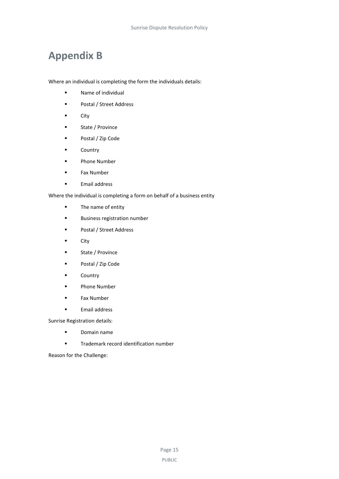# <span id="page-18-0"></span>**Appendix B**

Where an individual is completing the form the individuals details:

- **Name of individual**
- **Postal / Street Address**
- **City**
- **State / Province**
- Postal / Zip Code
- **Country**
- Phone Number
- **Fax Number**
- **Email address**

Where the individual is completing a form on behalf of a business entity

- **The name of entity**
- **Business registration number**
- **Postal / Street Address**
- **City**
- **State / Province**
- Postal / Zip Code
- **Country**
- **Phone Number**
- **Fax Number**
- **Email address**

Sunrise Registration details:

- Domain name
- **Trademark record identification number**

Reason for the Challenge: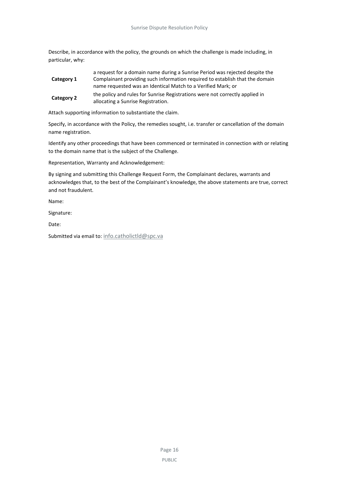Describe, in accordance with the policy, the grounds on which the challenge is made including, in particular, why:

|            | a request for a domain name during a Sunrise Period was rejected despite the |
|------------|------------------------------------------------------------------------------|
| Category 1 | Complainant providing such information required to establish that the domain |
|            | name requested was an Identical Match to a Verified Mark; or                 |
| Category 2 | the policy and rules for Sunrise Registrations were not correctly applied in |
|            | allocating a Sunrise Registration.                                           |

Attach supporting information to substantiate the claim.

Specify, in accordance with the Policy, the remedies sought, i.e. transfer or cancellation of the domain name registration.

Identify any other proceedings that have been commenced or terminated in connection with or relating to the domain name that is the subject of the Challenge.

Representation, Warranty and Acknowledgement:

By signing and submitting this Challenge Request Form, the Complainant declares, warrants and acknowledges that, to the best of the Complainant's knowledge, the above statements are true, correct and not fraudulent.

Name:

Signature:

Date:

Submitted via email to: [info.catholictld@spc.va](mailto:info.catholictld@spc.va)

Page 16 PUBLIC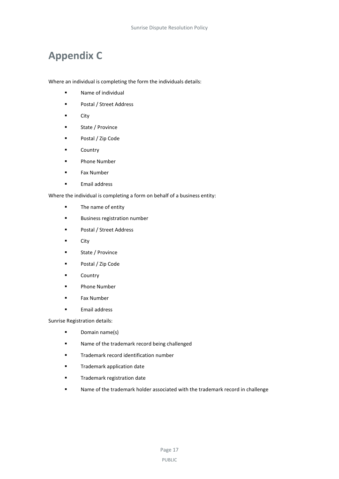# <span id="page-20-0"></span>**Appendix C**

Where an individual is completing the form the individuals details:

- **Name of individual**
- **Postal / Street Address**
- **City**
- **State / Province**
- Postal / Zip Code
- **Country**
- Phone Number
- Fax Number
- **Email address**

Where the individual is completing a form on behalf of a business entity:

- **The name of entity**
- **Business registration number**
- **Postal / Street Address**
- **City**
- **State / Province**
- Postal / Zip Code
- **Country**
- **Phone Number**
- **Fax Number**
- **Email address**

Sunrise Registration details:

- **Domain name(s)**
- Name of the trademark record being challenged
- **Trademark record identification number**
- **Trademark application date**
- **Trademark registration date**
- Name of the trademark holder associated with the trademark record in challenge